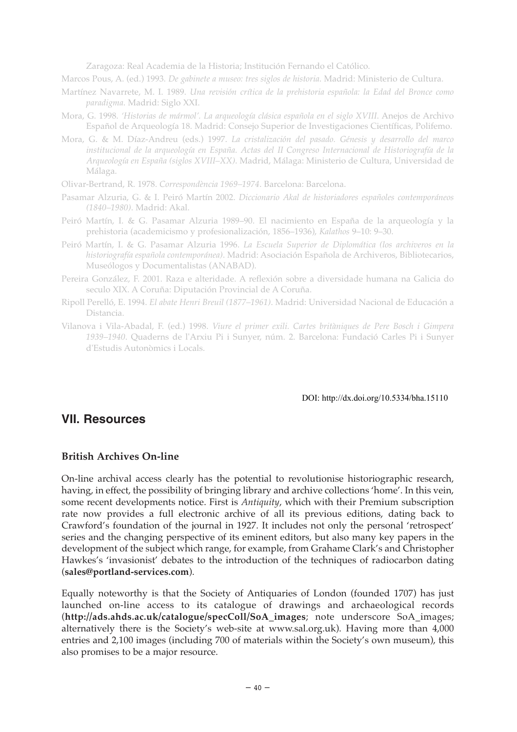Zaragoza: Real Academia de la Historia; Institución Fernando el Católico.

Marcos Pous, A. (ed.) 1993. *De gabinete a museo: tres siglos de historia*. Madrid: Ministerio de Cultura.

- Martínez Navarrete, M. I. 1989. *Una revisión crítica de la prehistoria española: la Edad del Bronce como paradigma*. Madrid: Siglo XXI.
- Mora, G. 1998. *'Historias de mármol'. La arqueología clásica española en el siglo XVIII*. Anejos de Archivo Español de Arqueología 18. Madrid: Consejo Superior de Investigaciones Científicas, Polifemo.
- Mora, G. & M. Díaz-Andreu (eds.) 1997. *La cristalización del pasado. Génesis y desarrollo del marco institucional de la arqueología en España. Actas del II Congreso Internacional de Historiografía de la Arqueología en España (siglos XVIII–XX)*. Madrid, Málaga: Ministerio de Cultura, Universidad de Málaga.

Olivar-Bertrand, R. 1978. *Correspondència 1969–1974*. Barcelona: Barcelona.

- Pasamar Alzuria, G. & I. Peiró Martín 2002. *Diccionario Akal de historiadores españoles contemporáneos (1840–1980)*. Madrid: Akal.
- Peiró Martín, I. & G. Pasamar Alzuria 1989–90. El nacimiento en España de la arqueología y la prehistoria (academicismo y profesionalización, 1856–1936), *Kalathos* 9–10: 9–30.
- Peiró Martín, I. & G. Pasamar Alzuria 1996. *La Escuela Superior de Diplomática (los archiveros en la historiografía española contemporánea)*. Madrid: Asociación Española de Archiveros, Bibliotecarios, Museólogos y Documentalistas (ANABAD).
- Pereira González, F. 2001. Raza e alteridade. A reflexión sobre a diversidade humana na Galicia do seculo XIX. A Coruña: Diputación Provincial de A Coruña.
- Ripoll Perelló, E. 1994. *El abate Henri Breuil (1877–1961)*. Madrid: Universidad Nacional de Educación a Distancia.
- Vilanova i Vila-Abadal, F. (ed.) 1998. *Viure el primer exili. Cartes britàniques de Pere Bosch i Gimpera 1939–1940*. Quaderns de l'Arxiu Pi i Sunyer, núm. 2. Barcelona: Fundació Carles Pi i Sunyer d'Estudis Autonòmics i Locals.

DOI: http://dx.doi.org/10.5334/bha.15110

## **VII. Resources**

#### **British Archives On-line**

On-line archival access clearly has the potential to revolutionise historiographic research, having, in effect, the possibility of bringing library and archive collections 'home'. In this vein, some recent developments notice. First is *Antiquity*, which with their Premium subscription rate now provides a full electronic archive of all its previous editions, dating back to Crawford's foundation of the journal in 1927. It includes not only the personal 'retrospect' series and the changing perspective of its eminent editors, but also many key papers in the development of the subject which range, for example, from Grahame Clark's and Christopher Hawkes's 'invasionist' debates to the introduction of the techniques of radiocarbon dating (**sales@portland-services.com**).

Equally noteworthy is that the Society of Antiquaries of London (founded 1707) has just launched on-line access to its catalogue of drawings and archaeological records (**http://ads.ahds.ac.uk/catalogue/specColl/SoA\_images**; note underscore SoA\_images; alternatively there is the Society's web-site at www.sal.org.uk). Having more than 4,000 entries and 2,100 images (including 700 of materials within the Society's own museum), this also promises to be a major resource.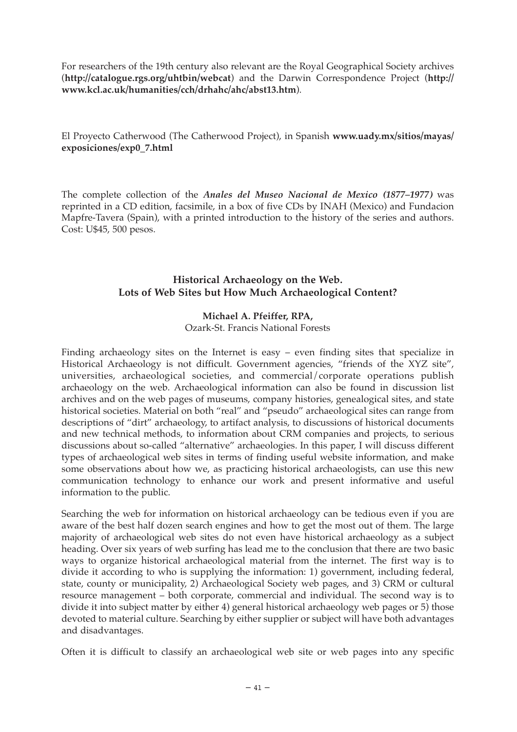For researchers of the 19th century also relevant are the Royal Geographical Society archives (**http://catalogue.rgs.org/uhtbin/webcat**) and the Darwin Correspondence Project (**http:// www.kcl.ac.uk/humanities/cch/drhahc/ahc/abst13.htm**).

El Proyecto Catherwood (The Catherwood Project), in Spanish **www.uady.mx/sitios/mayas/ exposiciones/exp0\_7.html**

The complete collection of the *Anales del Museo Nacional de Mexico (1877–1977)* was reprinted in a CD edition, facsimile, in a box of five CDs by INAH (Mexico) and Fundacion Mapfre-Tavera (Spain), with a printed introduction to the history of the series and authors. Cost: U\$45, 500 pesos.

## **Historical Archaeology on the Web. Lots of Web Sites but How Much Archaeological Content?**

## **Michael A. Pfeiffer, RPA,**

Ozark-St. Francis National Forests

Finding archaeology sites on the Internet is easy – even finding sites that specialize in Historical Archaeology is not difficult. Government agencies, "friends of the XYZ site", universities, archaeological societies, and commercial/corporate operations publish archaeology on the web. Archaeological information can also be found in discussion list archives and on the web pages of museums, company histories, genealogical sites, and state historical societies. Material on both "real" and "pseudo" archaeological sites can range from descriptions of "dirt" archaeology, to artifact analysis, to discussions of historical documents and new technical methods, to information about CRM companies and projects, to serious discussions about so-called "alternative" archaeologies. In this paper, I will discuss different types of archaeological web sites in terms of finding useful website information, and make some observations about how we, as practicing historical archaeologists, can use this new communication technology to enhance our work and present informative and useful information to the public.

Searching the web for information on historical archaeology can be tedious even if you are aware of the best half dozen search engines and how to get the most out of them. The large majority of archaeological web sites do not even have historical archaeology as a subject heading. Over six years of web surfing has lead me to the conclusion that there are two basic ways to organize historical archaeological material from the internet. The first way is to divide it according to who is supplying the information: 1) government, including federal, state, county or municipality, 2) Archaeological Society web pages, and 3) CRM or cultural resource management – both corporate, commercial and individual. The second way is to divide it into subject matter by either 4) general historical archaeology web pages or 5) those devoted to material culture. Searching by either supplier or subject will have both advantages and disadvantages.

Often it is difficult to classify an archaeological web site or web pages into any specific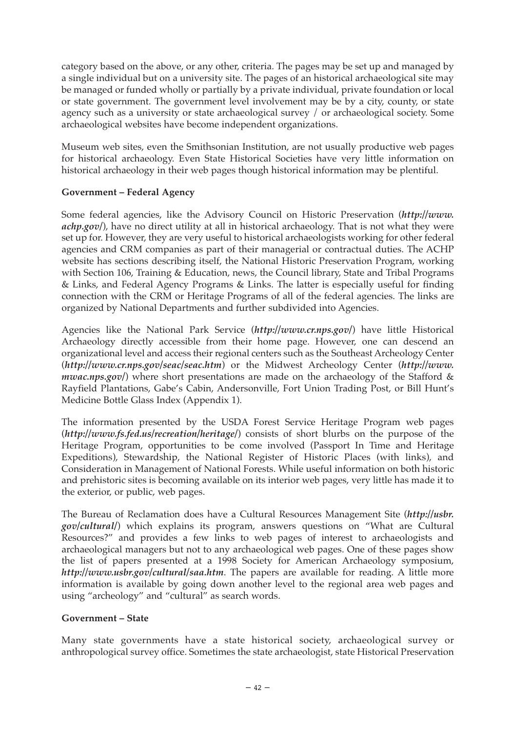category based on the above, or any other, criteria. The pages may be set up and managed by a single individual but on a university site. The pages of an historical archaeological site may be managed or funded wholly or partially by a private individual, private foundation or local or state government. The government level involvement may be by a city, county, or state agency such as a university or state archaeological survey / or archaeological society. Some archaeological websites have become independent organizations.

Museum web sites, even the Smithsonian Institution, are not usually productive web pages for historical archaeology. Even State Historical Societies have very little information on historical archaeology in their web pages though historical information may be plentiful.

## **Government – Federal Agency**

Some federal agencies, like the Advisory Council on Historic Preservation (*http://www. achp.gov/*), have no direct utility at all in historical archaeology. That is not what they were set up for. However, they are very useful to historical archaeologists working for other federal agencies and CRM companies as part of their managerial or contractual duties. The ACHP website has sections describing itself, the National Historic Preservation Program, working with Section 106, Training & Education, news, the Council library, State and Tribal Programs & Links, and Federal Agency Programs & Links. The latter is especially useful for finding connection with the CRM or Heritage Programs of all of the federal agencies. The links are organized by National Departments and further subdivided into Agencies.

Agencies like the National Park Service (*http://www.cr.nps.gov/*) have little Historical Archaeology directly accessible from their home page. However, one can descend an organizational level and access their regional centers such as the Southeast Archeology Center (*http://www.cr.nps.gov/seac/seac.htm*) or the Midwest Archeology Center (*http://www. mwac.nps.gov*/) where short presentations are made on the archaeology of the Stafford & Rayfield Plantations, Gabe's Cabin, Andersonville, Fort Union Trading Post, or Bill Hunt's Medicine Bottle Glass Index (Appendix 1).

The information presented by the USDA Forest Service Heritage Program web pages (*http://www.fs.fed.us/recreation/heritage/*) consists of short blurbs on the purpose of the Heritage Program, opportunities to be come involved (Passport In Time and Heritage Expeditions), Stewardship, the National Register of Historic Places (with links), and Consideration in Management of National Forests. While useful information on both historic and prehistoric sites is becoming available on its interior web pages, very little has made it to the exterior, or public, web pages.

The Bureau of Reclamation does have a Cultural Resources Management Site (*http://usbr. gov/cultural/*) which explains its program, answers questions on "What are Cultural Resources?" and provides a few links to web pages of interest to archaeologists and archaeological managers but not to any archaeological web pages. One of these pages show the list of papers presented at a 1998 Society for American Archaeology symposium, *http://www.usbr.gov/cultural/saa.htm*. The papers are available for reading. A little more information is available by going down another level to the regional area web pages and using "archeology" and "cultural" as search words.

#### **Government – State**

Many state governments have a state historical society, archaeological survey or anthropological survey office. Sometimes the state archaeologist, state Historical Preservation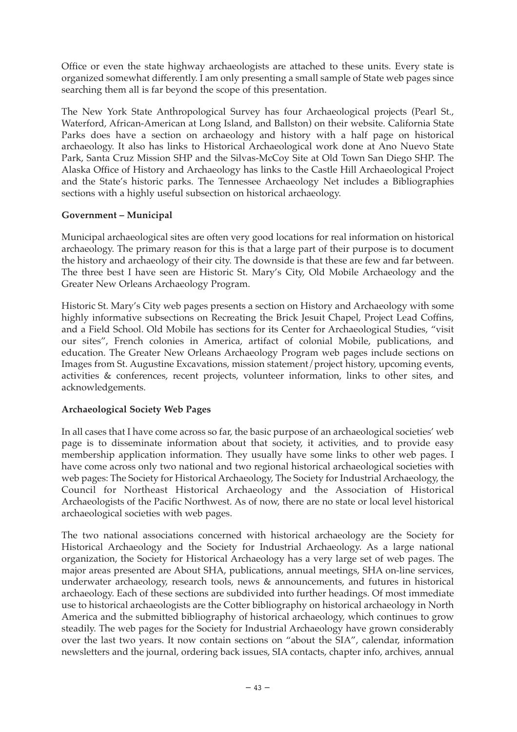Office or even the state highway archaeologists are attached to these units. Every state is organized somewhat differently. I am only presenting a small sample of State web pages since searching them all is far beyond the scope of this presentation.

The New York State Anthropological Survey has four Archaeological projects (Pearl St., Waterford, African-American at Long Island, and Ballston) on their website. California State Parks does have a section on archaeology and history with a half page on historical archaeology. It also has links to Historical Archaeological work done at Ano Nuevo State Park, Santa Cruz Mission SHP and the Silvas-McCoy Site at Old Town San Diego SHP. The Alaska Office of History and Archaeology has links to the Castle Hill Archaeological Project and the State's historic parks. The Tennessee Archaeology Net includes a Bibliographies sections with a highly useful subsection on historical archaeology.

## **Government – Municipal**

Municipal archaeological sites are often very good locations for real information on historical archaeology. The primary reason for this is that a large part of their purpose is to document the history and archaeology of their city. The downside is that these are few and far between. The three best I have seen are Historic St. Mary's City, Old Mobile Archaeology and the Greater New Orleans Archaeology Program.

Historic St. Mary's City web pages presents a section on History and Archaeology with some highly informative subsections on Recreating the Brick Jesuit Chapel, Project Lead Coffins, and a Field School. Old Mobile has sections for its Center for Archaeological Studies, "visit our sites", French colonies in America, artifact of colonial Mobile, publications, and education. The Greater New Orleans Archaeology Program web pages include sections on Images from St. Augustine Excavations, mission statement/project history, upcoming events, activities & conferences, recent projects, volunteer information, links to other sites, and acknowledgements.

## **Archaeological Society Web Pages**

In all cases that I have come across so far, the basic purpose of an archaeological societies' web page is to disseminate information about that society, it activities, and to provide easy membership application information. They usually have some links to other web pages. I have come across only two national and two regional historical archaeological societies with web pages: The Society for Historical Archaeology, The Society for Industrial Archaeology, the Council for Northeast Historical Archaeology and the Association of Historical Archaeologists of the Pacific Northwest. As of now, there are no state or local level historical archaeological societies with web pages.

The two national associations concerned with historical archaeology are the Society for Historical Archaeology and the Society for Industrial Archaeology. As a large national organization, the Society for Historical Archaeology has a very large set of web pages. The major areas presented are About SHA, publications, annual meetings, SHA on-line services, underwater archaeology, research tools, news & announcements, and futures in historical archaeology. Each of these sections are subdivided into further headings. Of most immediate use to historical archaeologists are the Cotter bibliography on historical archaeology in North America and the submitted bibliography of historical archaeology, which continues to grow steadily. The web pages for the Society for Industrial Archaeology have grown considerably over the last two years. It now contain sections on "about the SIA", calendar, information newsletters and the journal, ordering back issues, SIA contacts, chapter info, archives, annual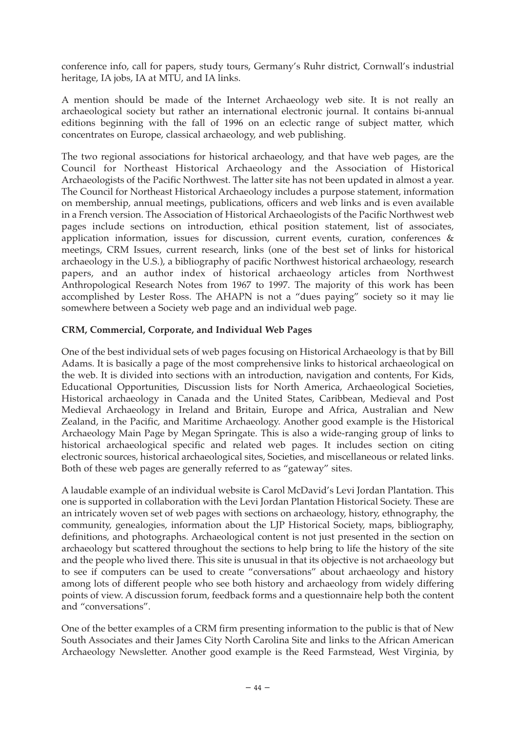conference info, call for papers, study tours, Germany's Ruhr district, Cornwall's industrial heritage, IA jobs, IA at MTU, and IA links.

A mention should be made of the Internet Archaeology web site. It is not really an archaeological society but rather an international electronic journal. It contains bi-annual editions beginning with the fall of 1996 on an eclectic range of subject matter, which concentrates on Europe, classical archaeology, and web publishing.

The two regional associations for historical archaeology, and that have web pages, are the Council for Northeast Historical Archaeology and the Association of Historical Archaeologists of the Pacific Northwest. The latter site has not been updated in almost a year. The Council for Northeast Historical Archaeology includes a purpose statement, information on membership, annual meetings, publications, officers and web links and is even available in a French version. The Association of Historical Archaeologists of the Pacific Northwest web pages include sections on introduction, ethical position statement, list of associates, application information, issues for discussion, current events, curation, conferences & meetings, CRM Issues, current research, links (one of the best set of links for historical archaeology in the U.S.), a bibliography of pacific Northwest historical archaeology, research papers, and an author index of historical archaeology articles from Northwest Anthropological Research Notes from 1967 to 1997. The majority of this work has been accomplished by Lester Ross. The AHAPN is not a "dues paying" society so it may lie somewhere between a Society web page and an individual web page.

## **CRM, Commercial, Corporate, and Individual Web Pages**

One of the best individual sets of web pages focusing on Historical Archaeology is that by Bill Adams. It is basically a page of the most comprehensive links to historical archaeological on the web. It is divided into sections with an introduction, navigation and contents, For Kids, Educational Opportunities, Discussion lists for North America, Archaeological Societies, Historical archaeology in Canada and the United States, Caribbean, Medieval and Post Medieval Archaeology in Ireland and Britain, Europe and Africa, Australian and New Zealand, in the Pacific, and Maritime Archaeology. Another good example is the Historical Archaeology Main Page by Megan Springate. This is also a wide-ranging group of links to historical archaeological specific and related web pages. It includes section on citing electronic sources, historical archaeological sites, Societies, and miscellaneous or related links. Both of these web pages are generally referred to as "gateway" sites.

A laudable example of an individual website is Carol McDavid's Levi Jordan Plantation. This one is supported in collaboration with the Levi Jordan Plantation Historical Society. These are an intricately woven set of web pages with sections on archaeology, history, ethnography, the community, genealogies, information about the LJP Historical Society, maps, bibliography, definitions, and photographs. Archaeological content is not just presented in the section on archaeology but scattered throughout the sections to help bring to life the history of the site and the people who lived there. This site is unusual in that its objective is not archaeology but to see if computers can be used to create "conversations" about archaeology and history among lots of different people who see both history and archaeology from widely differing points of view. A discussion forum, feedback forms and a questionnaire help both the content and "conversations".

One of the better examples of a CRM firm presenting information to the public is that of New South Associates and their James City North Carolina Site and links to the African American Archaeology Newsletter. Another good example is the Reed Farmstead, West Virginia, by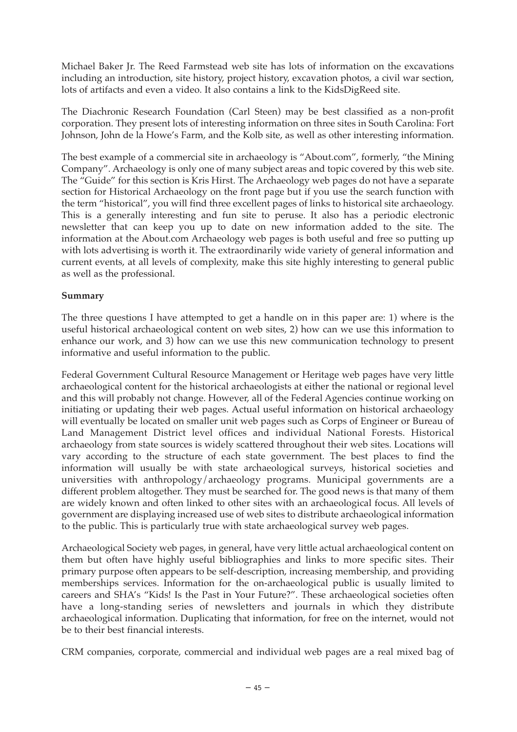Michael Baker Jr. The Reed Farmstead web site has lots of information on the excavations including an introduction, site history, project history, excavation photos, a civil war section, lots of artifacts and even a video. It also contains a link to the KidsDigReed site.

The Diachronic Research Foundation (Carl Steen) may be best classified as a non-profit corporation. They present lots of interesting information on three sites in South Carolina: Fort Johnson, John de la Howe's Farm, and the Kolb site, as well as other interesting information.

The best example of a commercial site in archaeology is "About.com", formerly, "the Mining Company". Archaeology is only one of many subject areas and topic covered by this web site. The "Guide" for this section is Kris Hirst. The Archaeology web pages do not have a separate section for Historical Archaeology on the front page but if you use the search function with the term "historical", you will find three excellent pages of links to historical site archaeology. This is a generally interesting and fun site to peruse. It also has a periodic electronic newsletter that can keep you up to date on new information added to the site. The information at the About.com Archaeology web pages is both useful and free so putting up with lots advertising is worth it. The extraordinarily wide variety of general information and current events, at all levels of complexity, make this site highly interesting to general public as well as the professional.

## **Summary**

The three questions I have attempted to get a handle on in this paper are: 1) where is the useful historical archaeological content on web sites, 2) how can we use this information to enhance our work, and 3) how can we use this new communication technology to present informative and useful information to the public.

Federal Government Cultural Resource Management or Heritage web pages have very little archaeological content for the historical archaeologists at either the national or regional level and this will probably not change. However, all of the Federal Agencies continue working on initiating or updating their web pages. Actual useful information on historical archaeology will eventually be located on smaller unit web pages such as Corps of Engineer or Bureau of Land Management District level offices and individual National Forests. Historical archaeology from state sources is widely scattered throughout their web sites. Locations will vary according to the structure of each state government. The best places to find the information will usually be with state archaeological surveys, historical societies and universities with anthropology/archaeology programs. Municipal governments are a different problem altogether. They must be searched for. The good news is that many of them are widely known and often linked to other sites with an archaeological focus. All levels of government are displaying increased use of web sites to distribute archaeological information to the public. This is particularly true with state archaeological survey web pages.

Archaeological Society web pages, in general, have very little actual archaeological content on them but often have highly useful bibliographies and links to more specific sites. Their primary purpose often appears to be self-description, increasing membership, and providing memberships services. Information for the on-archaeological public is usually limited to careers and SHA's "Kids! Is the Past in Your Future?". These archaeological societies often have a long-standing series of newsletters and journals in which they distribute archaeological information. Duplicating that information, for free on the internet, would not be to their best financial interests.

CRM companies, corporate, commercial and individual web pages are a real mixed bag of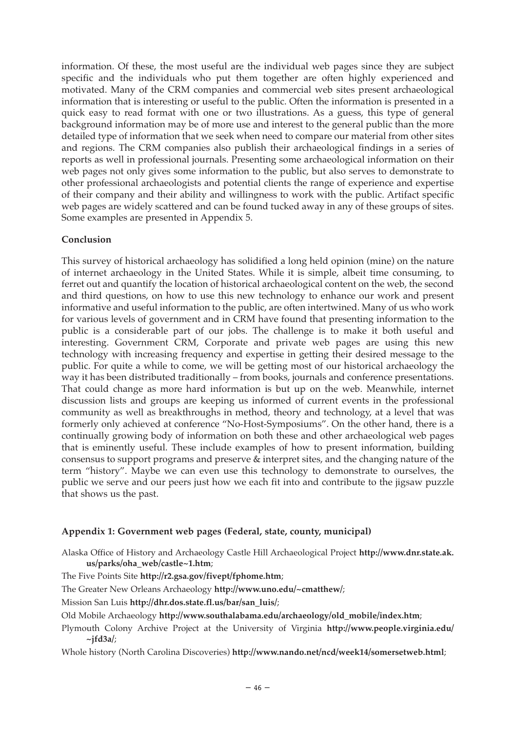information. Of these, the most useful are the individual web pages since they are subject specific and the individuals who put them together are often highly experienced and motivated. Many of the CRM companies and commercial web sites present archaeological information that is interesting or useful to the public. Often the information is presented in a quick easy to read format with one or two illustrations. As a guess, this type of general background information may be of more use and interest to the general public than the more detailed type of information that we seek when need to compare our material from other sites and regions. The CRM companies also publish their archaeological findings in a series of reports as well in professional journals. Presenting some archaeological information on their web pages not only gives some information to the public, but also serves to demonstrate to other professional archaeologists and potential clients the range of experience and expertise of their company and their ability and willingness to work with the public. Artifact specific web pages are widely scattered and can be found tucked away in any of these groups of sites. Some examples are presented in Appendix 5.

#### **Conclusion**

This survey of historical archaeology has solidified a long held opinion (mine) on the nature of internet archaeology in the United States. While it is simple, albeit time consuming, to ferret out and quantify the location of historical archaeological content on the web, the second and third questions, on how to use this new technology to enhance our work and present informative and useful information to the public, are often intertwined. Many of us who work for various levels of government and in CRM have found that presenting information to the public is a considerable part of our jobs. The challenge is to make it both useful and interesting. Government CRM, Corporate and private web pages are using this new technology with increasing frequency and expertise in getting their desired message to the public. For quite a while to come, we will be getting most of our historical archaeology the way it has been distributed traditionally – from books, journals and conference presentations. That could change as more hard information is but up on the web. Meanwhile, internet discussion lists and groups are keeping us informed of current events in the professional community as well as breakthroughs in method, theory and technology, at a level that was formerly only achieved at conference "No-Host-Symposiums". On the other hand, there is a continually growing body of information on both these and other archaeological web pages that is eminently useful. These include examples of how to present information, building consensus to support programs and preserve & interpret sites, and the changing nature of the term "history". Maybe we can even use this technology to demonstrate to ourselves, the public we serve and our peers just how we each fit into and contribute to the jigsaw puzzle that shows us the past.

#### **Appendix 1: Government web pages (Federal, state, county, municipal)**

- Alaska Office of History and Archaeology Castle Hill Archaeological Project **http://www.dnr.state.ak. us/parks/oha\_web/castle~1.htm**;
- The Five Points Site **http://r2.gsa.gov/fivept/fphome.htm**;
- The Greater New Orleans Archaeology **http://www.uno.edu/~cmatthew/**;
- Mission San Luis **http://dhr.dos.state.fl.us/bar/san\_luis/**;
- Old Mobile Archaeology **http://www.southalabama.edu/archaeology/old\_mobile/index.htm**;
- Plymouth Colony Archive Project at the University of Virginia **http://www.people.virginia.edu/ ~jfd3a/**;
- Whole history (North Carolina Discoveries) **http://www.nando.net/ncd/week14/somersetweb.html**;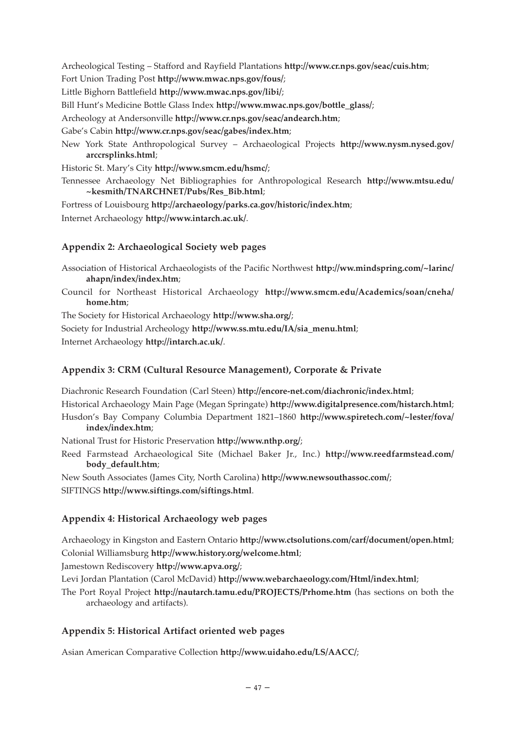Archeological Testing – Stafford and Rayfield Plantations **http://www.cr.nps.gov/seac/cuis.htm**;

Fort Union Trading Post **http://www.mwac.nps.gov/fous/**;

Little Bighorn Battlefield **http://www.mwac.nps.gov/libi/**;

Bill Hunt's Medicine Bottle Glass Index **http://www.mwac.nps.gov/bottle\_glass/**;

Archeology at Andersonville **http://www.cr.nps.gov/seac/andearch.htm**;

Gabe's Cabin **http://www.cr.nps.gov/seac/gabes/index.htm**;

New York State Anthropological Survey – Archaeological Projects **http://www.nysm.nysed.gov/ arccrsplinks.html**;

Historic St. Mary's City **http://www.smcm.edu/hsmc/**;

Tennessee Archaeology Net Bibliographies for Anthropological Research **http://www.mtsu.edu/ ~kesmith/TNARCHNET/Pubs/Res\_Bib.html**;

Fortress of Louisbourg **http://archaeology/parks.ca.gov/historic/index.htm**;

Internet Archaeology **http://www.intarch.ac.uk/**.

## **Appendix 2: Archaeological Society web pages**

Association of Historical Archaeologists of the Pacific Northwest **http://ww.mindspring.com/~larinc/ ahapn/index/index.htm**;

Council for Northeast Historical Archaeology **http://www.smcm.edu/Academics/soan/cneha/ home.htm**;

The Society for Historical Archaeology **http://www.sha.org/**;

Society for Industrial Archeology **http://www.ss.mtu.edu/IA/sia\_menu.html**;

Internet Archaeology **http://intarch.ac.uk/**.

#### **Appendix 3: CRM (Cultural Resource Management), Corporate & Private**

Diachronic Research Foundation (Carl Steen) **http://encore-net.com/diachronic/index.html**;

Historical Archaeology Main Page (Megan Springate) **http://www.digitalpresence.com/histarch.html**; Husdon's Bay Company Columbia Department 1821–1860 **http://www.spiretech.com/~lester/fova/ index/index.htm**;

National Trust for Historic Preservation **http://www.nthp.org/**;

Reed Farmstead Archaeological Site (Michael Baker Jr., Inc.) **http://www.reedfarmstead.com/ body\_default.htm**;

New South Associates (James City, North Carolina) **http://www.newsouthassoc.com/**; SIFTINGS **http://www.siftings.com/siftings.html**.

#### **Appendix 4: Historical Archaeology web pages**

Archaeology in Kingston and Eastern Ontario **http://www.ctsolutions.com/carf/document/open.html**; Colonial Williamsburg **http://www.history.org/welcome.html**;

Jamestown Rediscovery **http://www.apva.org/**;

Levi Jordan Plantation (Carol McDavid) **http://www.webarchaeology.com/Html/index.html**;

The Port Royal Project **http://nautarch.tamu.edu/PROJECTS/Prhome.htm** (has sections on both the archaeology and artifacts).

#### **Appendix 5: Historical Artifact oriented web pages**

Asian American Comparative Collection **http://www.uidaho.edu/LS/AACC/**;